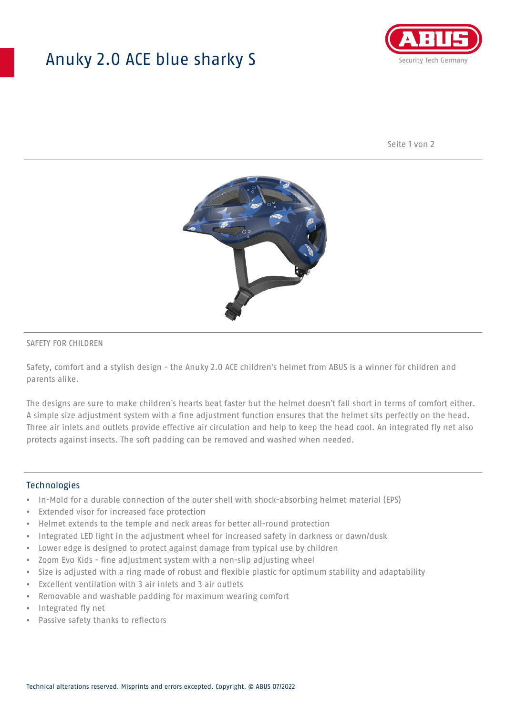# Anuky 2.0 ACE blue sharky S



Seite 1 von 2



### SAFETY FOR CHILDREN

Safety, comfort and a stylish design - the Anuky 2.0 ACE children's helmet from ABUS is a winner for children and parents alike.

The designs are sure to make children's hearts beat faster but the helmet doesn't fall short in terms of comfort either. A simple size adjustment system with a fine adjustment function ensures that the helmet sits perfectly on the head. Three air inlets and outlets provide effective air circulation and help to keep the head cool. An integrated fly net also protects against insects. The soft padding can be removed and washed when needed.

#### **Technologies**

- In-Mold for a durable connection of the outer shell with shock-absorbing helmet material (EPS)
- Extended visor for increased face protection
- Helmet extends to the temple and neck areas for better all-round protection
- Integrated LED light in the adjustment wheel for increased safety in darkness or dawn/dusk
- Lower edge is designed to protect against damage from typical use by children
- Zoom Evo Kids fine adjustment system with a non-slip adjusting wheel
- Size is adjusted with a ring made of robust and flexible plastic for optimum stability and adaptability
- Excellent ventilation with 3 air inlets and 3 air outlets
- Removable and washable padding for maximum wearing comfort
- Integrated fly net
- Passive safety thanks to reflectors